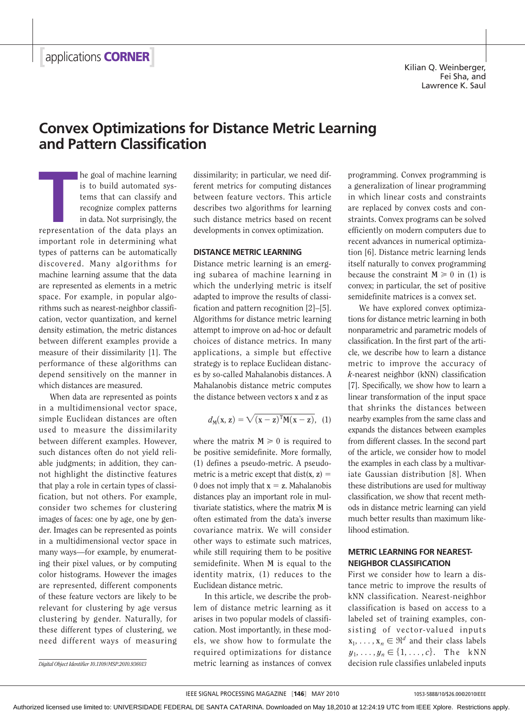Kilian Q. Weinberger, Fei Sha, and Lawrence K. Saul

# **Convex Optimizations for Distance Metric Learning and Pattern Classification**

**THE SET OF STARK OF THE SET OF THE SET OF STARK OF STARK OF THE SET OF THE STARK OF THE STARK OF THE STARK OF STARK AND SUPPRESENTATION OF THE PERSONAL PRESENTATION OF THE PERSONAL PRESENTATION OF THE ALSO SEPTEMBED AND S** he goal of machine learning is to build automated systems that can classify and recognize complex patterns in data. Not surprisingly, the important role in determining what types of patterns can be automatically discovered. Many algorithms for machine learning assume that the data are represented as elements in a metric space. For example, in popular algorithms such as nearest-neighbor classification, vector quantization, and kernel density estimation, the metric distances between different examples provide a measure of their dissimilarity [1]. The performance of these algorithms can depend sensitively on the manner in which distances are measured.

When data are represented as points in a multidimensional vector space, simple Euclidean distances are often used to measure the dissimilarity between different examples. However, such distances often do not yield reliable judgments; in addition, they cannot highlight the distinctive features that play a role in certain types of classification, but not others. For example, consider two schemes for clustering images of faces: one by age, one by gender. Images can be represented as points in a multidimensional vector space in many ways—for example, by enumerating their pixel values, or by computing color histograms. However the images are represented, different components of these feature vectors are likely to be relevant for clustering by age versus clustering by gender. Naturally, for these different types of clustering, we need different ways of measuring

 dissimilarity; in particular, we need different metrics for computing distances between feature vectors. This article describes two algorithms for learning such distance metrics based on recent developments in convex optimization.

#### **DISTANCE METRIC LEARNING**

Distance metric learning is an emerging subarea of machine learning in which the underlying metric is itself adapted to improve the results of classification and pattern recognition [2]–[5]. Algorithms for distance metric learning attempt to improve on ad-hoc or default choices of distance metrics. In many applications, a simple but effective strategy is to replace Euclidean distances by so-called Mahalanobis distances. A Mahalanobis distance metric computes the distance between vectors **x** and **z** as

$$
d_M(x, z) = \sqrt{(x - z)^T M (x - z)}, \quad (1)
$$

where the matrix  $M \ge 0$  is required to be positive semidefinite. More formally, (1) defines a pseudo-metric. A pseudometric is a metric except that  $dist(x, z) =$ 0 does not imply that  $x = z$ . Mahalanobis distances play an important role in multivariate statistics, where the matrix **M** is often estimated from the data's inverse covariance matrix. We will consider other ways to estimate such matrices, while still requiring them to be positive semidefinite. When **M** is equal to the identity matrix, (1) reduces to the Euclidean distance metric.

In this article, we describe the problem of distance metric learning as it arises in two popular models of classification. Most importantly, in these models, we show how to formulate the required optimizations for distance Digital Object Identifier 10.1109/MSP.2010.936013 **decision rule classifies unlabeled inputs** decision rule classifies unlabeled inputs

programming. Convex programming is a generalization of linear programming in which linear costs and constraints are replaced by convex costs and constraints. Convex programs can be solved efficiently on modern computers due to recent advances in numerical optimization [6]. Distance metric learning lends itself naturally to convex programming because the constraint  $M \ge 0$  in (1) is convex; in particular, the set of positive semidefinite matrices is a convex set.

We have explored convex optimizations for distance metric learning in both nonparametric and parametric models of classification. In the first part of the article, we describe how to learn a distance metric to improve the accuracy of *k*-nearest neighbor (kNN) classification [7]. Specifically, we show how to learn a linear transformation of the input space that shrinks the distances between nearby examples from the same class and expands the distances between examples from different classes. In the second part of the article, we consider how to model the examples in each class by a multivariate Gaussian distribution [8]. When these distributions are used for multiway classification, we show that recent methods in distance metric learning can yield much better results than maximum likelihood estimation.

## **METRIC LEARNING FOR NEAREST-NEIGHBOR CLASSIFICATION**

First we consider how to learn a distance metric to improve the results of kNN classification. Nearest-neighbor classification is based on access to a labeled set of training examples, consisting of vector-valued inputs  $\mathbf{x}_1, \ldots, \mathbf{x}_n \in \mathbb{R}^d$  and their class labels  $y_1, \ldots, y_n \in \{1, \ldots, c\}$ . The kNN

Authorized licensed use limited to: UNIVERSIDADE FEDERAL DE SANTA CATARINA. Downloaded on May 18,2010 at 12:24:19 UTC from IEEE Xplore. Restrictions apply.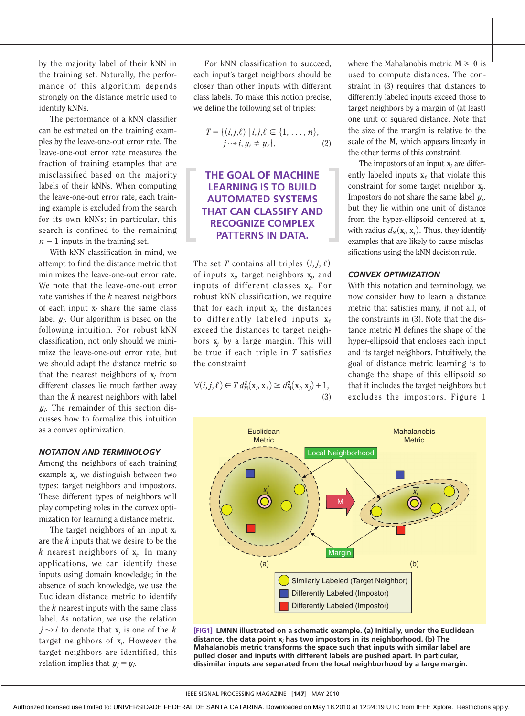by the majority label of their kNN in the training set. Naturally, the performance of this algorithm depends strongly on the distance metric used to identify kNNs.

The performance of a kNN classifier can be estimated on the training examples by the leave-one-out error rate. The leave-one-out error rate measures the fraction of training examples that are misclassified based on the majority labels of their kNNs. When computing the leave-one-out error rate, each training example is excluded from the search for its own kNNs; in particular, this search is confined to the remaining  $n-1$  inputs in the training set.

With kNN classification in mind, we attempt to find the distance metric that minimizes the leave-one-out error rate. We note that the leave-one-out error rate vanishes if the *k* nearest neighbors of each input **x***i* share the same class label *yi* . Our algorithm is based on the following intuition. For robust kNN classification, not only should we minimize the leave-one-out error rate, but we should adapt the distance metric so that the nearest neighbors of **x***i* from different classes lie much farther away than the *k* nearest neighbors with label *yi* . The remainder of this section discusses how to formalize this intuition as a convex optimization.

#### *NOTATION AND TERMINOLOGY*

Among the neighbors of each training example **x***<sup>i</sup>* , we distinguish between two types: target neighbors and impostors. These different types of neighbors will play competing roles in the convex optimization for learning a distance metric.

The target neighbors of an input **x***<sup>i</sup>* are the *k* inputs that we desire to be the *k* nearest neighbors of **x***<sup>i</sup>* . In many applications, we can identify these inputs using domain knowledge; in the absence of such knowledge, we use the Euclidean distance metric to identify the *k* nearest inputs with the same class label. As notation, we use the relation  $j \rightarrow i$  to denote that  $x_i$  is one of the *k* target neighbors of **x***<sup>i</sup>* . However the target neighbors are identified, this relation implies that  $y_j = y_i$ .

For kNN classification to succeed, each input's target neighbors should be closer than other inputs with different class labels. To make this notion precise, we define the following set of triples:

$$
T = \{ (i,j,\ell) \mid i,j,\ell \in \{1,\ldots,n\},
$$
  

$$
j \rightarrow i, y_i \neq y_\ell \}.
$$
 (2)

# **THE GOAL OF MACHINE LEARNING IS TO BUILD AUTOMATED SYSTEMS THAT CAN CLASSIFY AND RECOGNIZE COMPLEX PATTERNS IN DATA.**

The set *T* contains all triples  $(i, j, \ell)$ of inputs **x***<sup>i</sup>* , target neighbors **x***<sup>j</sup>* , and inputs of different classes **x**,. For robust kNN classification, we require that for each input **x***<sup>i</sup>* , the distances to differently labeled inputs **x**, exceed the distances to target neighbors **x***j* by a large margin. This will be true if each triple in *T* satisfies the constraint

$$
\forall (i, j, \ell) \in T d_M^2(\mathbf{x}_i, \mathbf{x}_\ell) \ge d_M^2(\mathbf{x}_i, \mathbf{x}_j) + 1,
$$
\n(3)

where the Mahalanobis metric  $M \ge 0$  is used to compute distances. The constraint in (3) requires that distances to differently labeled inputs exceed those to target neighbors by a margin of (at least) one unit of squared distance. Note that the size of the margin is relative to the scale of the **M**, which appears linearly in the other terms of this constraint.

The impostors of an input **x***i* are differently labeled inputs  $x_t$  that violate this constraint for some target neighbor **x***<sup>j</sup>* . Impostors do not share the same label *yi* , but they lie within one unit of distance from the hyper-ellipsoid centered at **x***<sup>i</sup>* with radius  $d_M(x_i, x_j)$ . Thus, they identify examples that are likely to cause misclassifications using the kNN decision rule.

#### *CONVEX OPTIMIZATION*

With this notation and terminology, we now consider how to learn a distance metric that satisfies many, if not all, of the constraints in (3). Note that the distance metric **M** defines the shape of the hyper-ellipsoid that encloses each input and its target neighbors. Intuitively, the goal of distance metric learning is to change the shape of this ellipsoid so that it includes the target neighbors but excludes the impostors. Figure 1



**[FIG1] LMNN illustrated on a schematic example. (a) Initially, under the Euclidean distance, the data point x***<sup>i</sup>*  **has two impostors in its neighborhood. (b) The Mahalanobis metric transforms the space such that inputs with similar label are pulled closer and inputs with different labels are pushed apart. In particular, dissimilar inputs are separated from the local neighborhood by a large margin.**

Authorized licensed use limited to: UNIVERSIDADE FEDERAL DE SANTA CATARINA. Downloaded on May 18,2010 at 12:24:19 UTC from IEEE Xplore. Restrictions apply.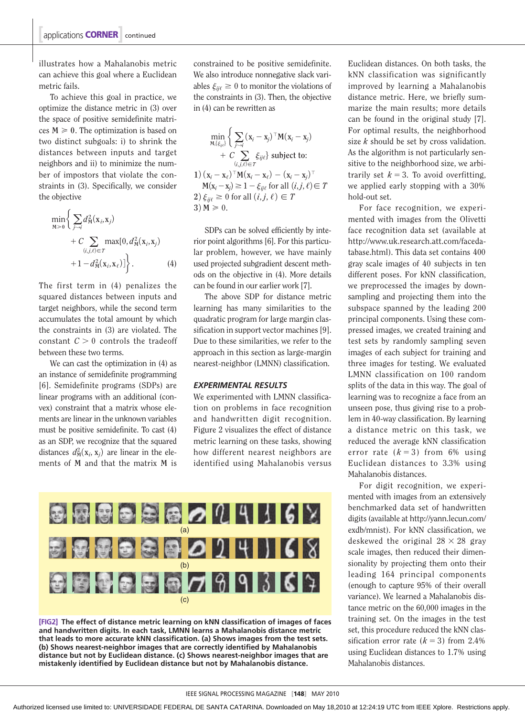illustrates how a Mahalanobis metric can achieve this goal where a Euclidean metric fails.

To achieve this goal in practice, we optimize the distance metric in (3) over the space of positive semidefinite matrices  $M \ge 0$ . The optimization is based on two distinct subgoals: i) to shrink the distances between inputs and target neighbors and ii) to minimize the number of impostors that violate the constraints in (3). Specifically, we consider the objective

$$
\min_{\mathbf{M}\geq 0} \left\{ \sum_{j\sim i} d_{\mathbf{M}}^2(\mathbf{x}_i, \mathbf{x}_j) + C \sum_{(i,j,\ell)\in T} \max[0, d_{\mathbf{M}}^2(\mathbf{x}_i, \mathbf{x}_j) + 1 - d_{\mathbf{M}}^2(\mathbf{x}_i, \mathbf{x}_\ell) \right\}.
$$
\n(4)

The first term in (4) penalizes the squared distances between inputs and target neighbors, while the second term accumulates the total amount by which the constraints in (3) are violated. The constant  $C > 0$  controls the tradeoff between these two terms.

We can cast the optimization in (4) as an instance of semidefinite programming [6]. Semidefinite programs (SDPs) are linear programs with an additional (convex) constraint that a matrix whose elements are linear in the unknown variables must be positive semidefinite. To cast (4) as an SDP, we recognize that the squared distances  $d_M^2(\mathbf{x}_i, \mathbf{x}_j)$  are linear in the elements of **M** and that the matrix **M** is

 constrained to be positive semidefinite. We also introduce nonnegative slack variables  $\xi_{ii\ell} \geq 0$  to monitor the violations of the constraints in (3). Then, the objective in (4) can be rewritten as

$$
\min_{\mathbf{M}, \{\xi_{ij\ell}\}} \left\{ \sum_{j \sim i} (\mathbf{x}_i - \mathbf{x}_j)^\top \mathbf{M} (\mathbf{x}_i - \mathbf{x}_j) + C \sum_{(i,j,\ell) \in T} \xi_{ij\ell} \right\} \text{ subject to:}
$$
\n
$$
1) (\mathbf{x}_i - \mathbf{x}_\ell)^\top \mathbf{M} (\mathbf{x}_i - \mathbf{x}_\ell) - (\mathbf{x}_i - \mathbf{x}_j)^\top
$$
\n
$$
\mathbf{M} (\mathbf{x}_i - \mathbf{x}_j) \ge 1 - \xi_{ij\ell} \text{ for all } (i,j,\ell) \in T
$$
\n
$$
2) \xi_{ij\ell} \ge 0 \text{ for all } (i,j,\ell) \in T
$$
\n
$$
3) \mathbf{M} \ge 0.
$$

SDPs can be solved efficiently by interior point algorithms [6]. For this particular problem, however, we have mainly used projected subgradient descent methods on the objective in (4). More details can be found in our earlier work [7].

The above SDP for distance metric learning has many similarities to the quadratic program for large margin classification in support vector machines [9]. Due to these similarities, we refer to the approach in this section as large-margin nearest-neighbor (LMNN) classification.

#### *EXPERIMENTAL RESULTS*

We experimented with LMNN classification on problems in face recognition and handwritten digit recognition. Figure 2 visualizes the effect of distance metric learning on these tasks, showing how different nearest neighbors are identified using Mahalanobis versus



**[FIG2] The effect of distance metric learning on kNN classification of images of faces and handwritten digits. In each task, LMNN learns a Mahalanobis distance metric that leads to more accurate kNN classification. (a) Shows images from the test sets. (b) Shows nearest-neighbor images that are correctly identified by Mahalanobis distance but not by Euclidean distance. (c) Shows nearest-neighbor images that are mistakenly identified by Euclidean distance but not by Mahalanobis distance.**

Euclidean distances. On both tasks, the kNN classification was significantly improved by learning a Mahalanobis distance metric. Here, we briefly summarize the main results; more details can be found in the original study [7]. For optimal results, the neighborhood size *k* should be set by cross validation. As the algorithm is not particularly sensitive to the neighborhood size, we arbitrarily set  $k = 3$ . To avoid overfitting, we applied early stopping with a 30% hold-out set.

For face recognition, we experimented with images from the Olivetti face recognition data set (available at http://www.uk.research.att.com/facedatabase.html). This data set contains 400 gray scale images of 40 subjects in ten different poses. For kNN classification, we preprocessed the images by downsampling and projecting them into the subspace spanned by the leading 200 principal components. Using these compressed images, we created training and test sets by randomly sampling seven images of each subject for training and three images for testing. We evaluated LMNN classification on 100 random splits of the data in this way. The goal of learning was to recognize a face from an unseen pose, thus giving rise to a problem in 40-way classification. By learning a distance metric on this task, we reduced the average kNN classification error rate  $(k=3)$  from 6% using Euclidean distances to 3.3% using Mahalanobis distances.

For digit recognition, we experimented with images from an extensively benchmarked data set of handwritten digits (available at http://yann.lecun.com/ exdb/mnist). For kNN classification, we deskewed the original  $28 \times 28$  gray scale images, then reduced their dimensionality by projecting them onto their leading 164 principal components (enough to capture 95% of their overall variance). We learned a Mahalanobis distance metric on the 60,000 images in the training set. On the images in the test set, this procedure reduced the kNN classification error rate  $(k = 3)$  from 2.4% using Euclidean distances to 1.7% using Mahalanobis distances.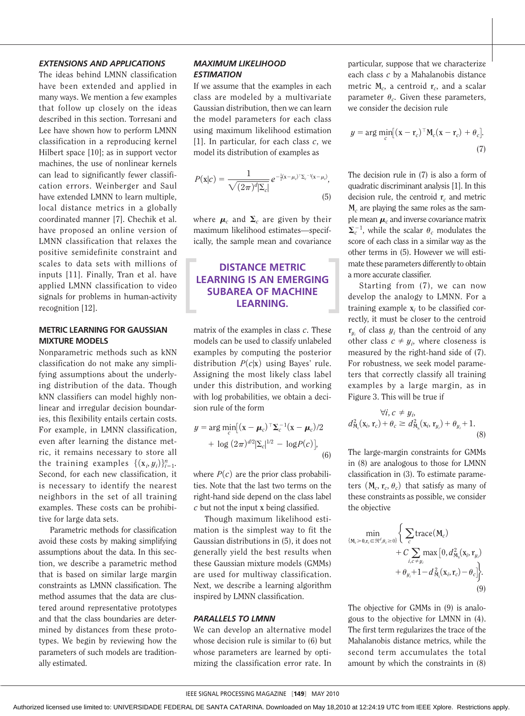### *EXTENSIONS AND APPLICATIONS*

The ideas behind LMNN classification have been extended and applied in many ways. We mention a few examples that follow up closely on the ideas described in this section. Torresani and Lee have shown how to perform LMNN classification in a reproducing kernel Hilbert space [10]; as in support vector machines, the use of nonlinear kernels can lead to significantly fewer classification errors. Weinberger and Saul have extended LMNN to learn multiple, local distance metrics in a globally coordinated manner [7]. Chechik et al. have proposed an online version of LMNN classification that relaxes the positive semidefinite constraint and scales to data sets with millions of inputs [11]. Finally, Tran et al. have applied LMNN classification to video signals for problems in human-activity recognition [12].

## **METRIC LEARNING FOR GAUSSIAN MIXTURE MODELS**

Nonparametric methods such as kNN classification do not make any simplifying assumptions about the underlying distribution of the data. Though kNN classifiers can model highly nonlinear and irregular decision boundaries, this flexibility entails certain costs. For example, in LMNN classification, even after learning the distance metric, it remains necessary to store all the training examples  $\{(\mathbf{x}_i, y_i)\}_{i=1}^n$ . Second, for each new classification, it is necessary to identify the nearest neighbors in the set of all training examples. These costs can be prohibitive for large data sets.

Parametric methods for classification avoid these costs by making simplifying assumptions about the data. In this section, we describe a parametric method that is based on similar large margin constraints as LMNN classification. The method assumes that the data are clustered around representative prototypes and that the class boundaries are determined by distances from these prototypes. We begin by reviewing how the parameters of such models are traditionally estimated.

## *MAXIMUM LIKELIHOOD ESTIMATION*

If we assume that the examples in each class are modeled by a multivariate Gaussian distribution, then we can learn the model parameters for each class using maximum likelihood estimation [1]. In particular, for each class *c*, we model its distribution of examples as

$$
P(\mathbf{x}|c) = \frac{1}{\sqrt{(2\pi)^d |\Sigma_c|}} e^{-\frac{1}{2}(\mathbf{x} - \mu_c)^{\mathrm{T}} \Sigma_c^{-1}(\mathbf{x} - \mu_c)},
$$
\n(5)

where  $\mu_c$  and  $\Sigma_c$  are given by their maximum likelihood estimates—specifically, the sample mean and covariance

# **DISTANCE METRIC LEARNING IS AN EMERGING SUBAREA OF MACHINE LEARNING.**

matrix of the examples in class *c*. These models can be used to classify unlabeled examples by computing the posterior distribution  $P(c|\mathbf{x})$  using Bayes' rule. Assigning the most likely class label under this distribution, and working with log probabilities, we obtain a decision rule of the form

$$
y = \arg\min_{c} [(x - \mu_c)^{\top} \Sigma_c^{-1} (x - \mu_c)/2 + \log (2\pi)^{d/2} |\Sigma_c|^{1/2} - \log P(c)],
$$
(6)

where  $P(c)$  are the prior class probabilities. Note that the last two terms on the right-hand side depend on the class label *c* but not the input **x** being classified.

Though maximum likelihood estimation is the simplest way to fit the Gaussian distributions in (5), it does not generally yield the best results when these Gaussian mixture models (GMMs) are used for multiway classification. Next, we describe a learning algorithm inspired by LMNN classification.

#### *PARALLELS TO LMNN*

We can develop an alternative model whose decision rule is similar to (6) but whose parameters are learned by optimizing the classification error rate. In particular, suppose that we characterize each class *c* by a Mahalanobis distance metric **M***c*, a centroid **r***c*, and a scalar parameter  $\theta_c$ . Given these parameters, we consider the decision rule

$$
y = \arg\min_{c} \left[ (\mathbf{x} - \mathbf{r}_c)^{\top} \mathbf{M}_c (\mathbf{x} - \mathbf{r}_c) + \theta_c \right].
$$
\n(7)

The decision rule in (7) is also a form of quadratic discriminant analysis [1]. In this decision rule, the centroid **r***c* and metric **M***c* are playing the same roles as the sample mean  $\mu_c$  and inverse covariance matrix  $\Sigma_c^{-1}$ , while the scalar  $\theta_c$  modulates the score of each class in a similar way as the other terms in (5). However we will estimate these parameters differently to obtain a more accurate classifier.

Starting from (7), we can now develop the analogy to LMNN. For a training example **x***i* to be classified correctly, it must be closer to the centroid  $r_{y_i}$  of class  $y_i$  than the centroid of any other class  $c \neq y_i$ , where closeness is measured by the right-hand side of (7). For robustness, we seek model parameters that correctly classify all training examples by a large margin, as in Figure 3. This will be true if

$$
\forall i, c \neq y_i,d_{\mathrm{M}_{c}}^2(\mathbf{x}_i, \mathbf{r}_c) + \theta_c \geq d_{\mathrm{M}_{y_i}}^2(\mathbf{x}_i, \mathbf{r}_{y_i}) + \theta_{y_i} + 1.
$$
\n(8)

The large-margin constraints for GMMs in (8) are analogous to those for LMNN classification in (3). To estimate parameters  $(M_c, r_c, \theta_c)$  that satisfy as many of these constraints as possible, we consider the objective

$$
\min_{\{M_c \geq 0, r_c \in \mathbb{R}^d, \theta_c \geq 0\}} \left\{ \sum_c \operatorname{trace}(\mathbf{M}_c) + C \sum_{i, c \neq y_i} \max\left[0, d_{\mathbf{M}_n}^2(\mathbf{x}_i, \mathbf{r}_{y_i}) + \theta_{y_i} + 1 - d_{\mathbf{M}_c}^2(\mathbf{x}_i, \mathbf{r}_c) - \theta_c \right] \right\}.
$$
\n(9)

The objective for GMMs in (9) is analogous to the objective for LMNN in (4). The first term regularizes the trace of the Mahalanobis distance metrics, while the second term accumulates the total amount by which the constraints in (8)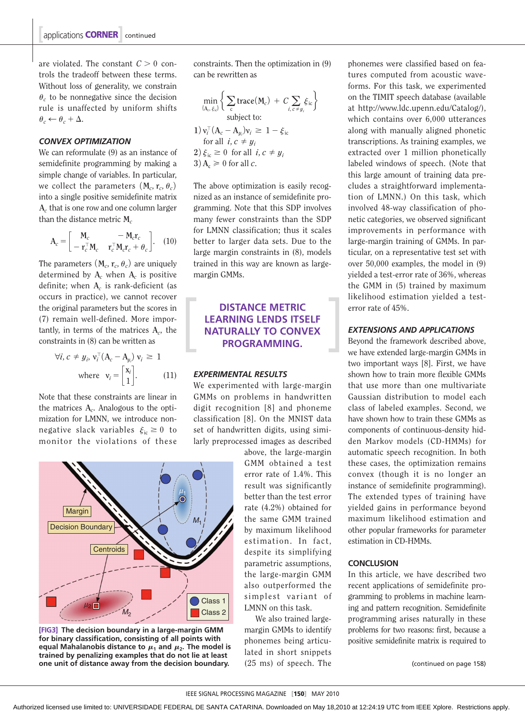are violated. The constant  $C > 0$  controls the tradeoff between these terms. Without loss of generality, we constrain  $\theta_c$  to be nonnegative since the decision rule is unaffected by uniform shifts  $\theta_c \leftarrow \theta_c + \Delta.$ 

### *CONVEX OPTIMIZATION*

We can reformulate (9) as an instance of semidefinite programming by making a simple change of variables. In particular, we collect the parameters  $(M_c, r_c, \theta_c)$ into a single positive semidefinite matrix **A***c* that is one row and one column larger than the distance metric **M***<sup>c</sup>*

$$
\mathbf{A}_c = \begin{bmatrix} \mathbf{M}_c & -\mathbf{M}_c \mathbf{r}_c \\ -\mathbf{r}_c^\top \mathbf{M}_c & \mathbf{r}_c^\top \mathbf{M}_c \mathbf{r}_c + \theta_c \end{bmatrix}.
$$
 (10)

The parameters  $(M_c, r_c, \theta_c)$  are uniquely determined by  $A_c$  when  $A_c$  is positive definite; when **A***c* is rank-deficient (as occurs in practice), we cannot recover the original parameters but the scores in (7) remain well-defined. More importantly, in terms of the matrices **A***c*, the constraints in (8) can be written as

$$
\forall i, c \neq y_i, v_i^{\top} (A_c - A_{y_i}) v_i \geq 1
$$
  
where  $v_i = \begin{bmatrix} x_i \\ 1 \end{bmatrix}$ . (11)

Note that these constraints are linear in the matrices **A***c*. Analogous to the optimization for LMNN, we introduce nonnegative slack variables  $\xi_{\rm ic} \geq 0$  to monitor the violations of these



**[FIG3] The decision boundary in a large-margin GMM for binary classification, consisting of all points with**  equal Mahalanobis distance to  $\mu_1$  and  $\mu_2$ . The model is **trained by penalizing examples that do not lie at least one unit of distance away from the decision boundary.**

 constraints. Then the optimization in (9) can be rewritten as

$$
\min_{\{A_c, \xi_i\}} \left\{ \sum_c \text{trace}(M_c) + C \sum_{i, c \neq y_i} \xi_{ic} \right\}
$$
\nsubject to:  
\n
$$
1) v_i^\top (A_c - A_{y_i}) v_i \geq 1 - \xi_{ic}
$$
\nfor all  $i, c \neq y_i$   
\n
$$
2) \xi_{ic} \geq 0 \text{ for all } i, c \neq y_i
$$
\n
$$
3) A_c \geq 0 \text{ for all } c.
$$

The above optimization is easily recognized as an instance of semidefinite programming. Note that this SDP involves many fewer constraints than the SDP for LMNN classification; thus it scales better to larger data sets. Due to the large margin constraints in (8), models trained in this way are known as largemargin GMMs.

# **DISTANCE METRIC LEARNING LENDS ITSELF NATURALLY TO CONVEX PROGRAMMING.**

#### *EXPERIMENTAL RESULTS*

We experimented with large-margin GMMs on problems in handwritten digit recognition [8] and phoneme classification [8]. On the MNIST data set of handwritten digits, using similarly preprocessed images as described

> above, the large-margin GMM obtained a test error rate of 1.4%. This result was significantly better than the test error rate (4.2%) obtained for the same GMM trained by maximum likelihood estimation. In fact, despite its simplifying parametric assumptions, the large-margin GMM also outperformed the simplest variant of LMNN on this task.

We also trained largemargin GMMs to identify phonemes being articulated in short snippets (25 ms) of speech. The

phonemes were classified based on features computed from acoustic waveforms. For this task, we experimented on the TIMIT speech database (available at http://www.ldc.upenn.edu/Catalog/), which contains over 6,000 utterances along with manually aligned phonetic transcriptions. As training examples, we extracted over 1 million phonetically labeled windows of speech. (Note that this large amount of training data precludes a straightforward implementation of LMNN.) On this task, which involved 48-way classification of phonetic categories, we observed significant improvements in performance with large-margin training of GMMs. In particular, on a representative test set with over 50,000 examples, the model in (9) yielded a test-error rate of 36%, whereas the GMM in (5) trained by maximum likelihood estimation yielded a testerror rate of 45%.

#### *EXTENSIONS AND APPLICATIONS*

Beyond the framework described above, we have extended large-margin GMMs in two important ways [8]. First, we have shown how to train more flexible GMMs that use more than one multivariate Gaussian distribution to model each class of labeled examples. Second, we have shown how to train these GMMs as components of continuous-density hidden Markov models (CD-HMMs) for automatic speech recognition. In both these cases, the optimization remains convex (though it is no longer an instance of semidefinite programming). The extended types of training have yielded gains in performance beyond maximum likelihood estimation and other popular frameworks for parameter estimation in CD-HMMs.

#### **CONCLUSION**

In this article, we have described two recent applications of semidefinite programming to problems in machine learning and pattern recognition. Semidefinite programming arises naturally in these problems for two reasons: first, because a positive semidefinite matrix is required to

(continued on page 158)